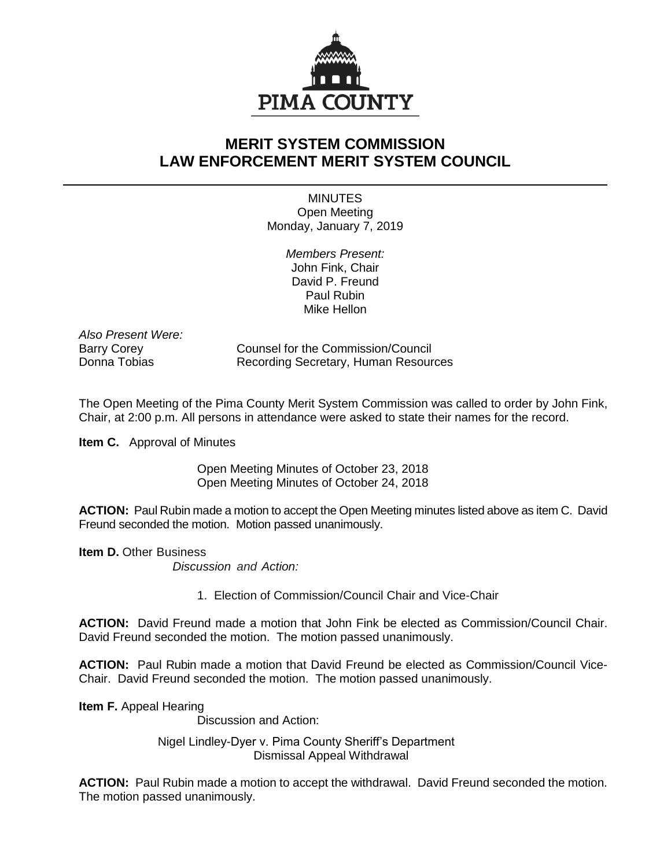

## **MERIT SYSTEM COMMISSION LAW ENFORCEMENT MERIT SYSTEM COUNCIL**

**MINUTES** Open Meeting Monday, January 7, 2019

> *Members Present:* John Fink, Chair David P. Freund Paul Rubin Mike Hellon

*Also Present Were:*

Barry Corey Counsel for the Commission/Council Donna Tobias **Recording Secretary, Human Resources** 

The Open Meeting of the Pima County Merit System Commission was called to order by John Fink, Chair, at 2:00 p.m. All persons in attendance were asked to state their names for the record.

**Item C.** Approval of Minutes

Open Meeting Minutes of October 23, 2018 Open Meeting Minutes of October 24, 2018

**ACTION:** Paul Rubin made a motion to accept the Open Meeting minutes listed above as item C. David Freund seconded the motion. Motion passed unanimously.

**Item D.** Other Business

*Discussion and Action:*

1. Election of Commission/Council Chair and Vice-Chair

**ACTION:** David Freund made a motion that John Fink be elected as Commission/Council Chair. David Freund seconded the motion. The motion passed unanimously.

**ACTION:** Paul Rubin made a motion that David Freund be elected as Commission/Council Vice-Chair. David Freund seconded the motion. The motion passed unanimously.

**Item F.** Appeal Hearing

Discussion and Action:

Nigel Lindley-Dyer v. Pima County Sheriff's Department Dismissal Appeal Withdrawal

**ACTION:** Paul Rubin made a motion to accept the withdrawal. David Freund seconded the motion. The motion passed unanimously.